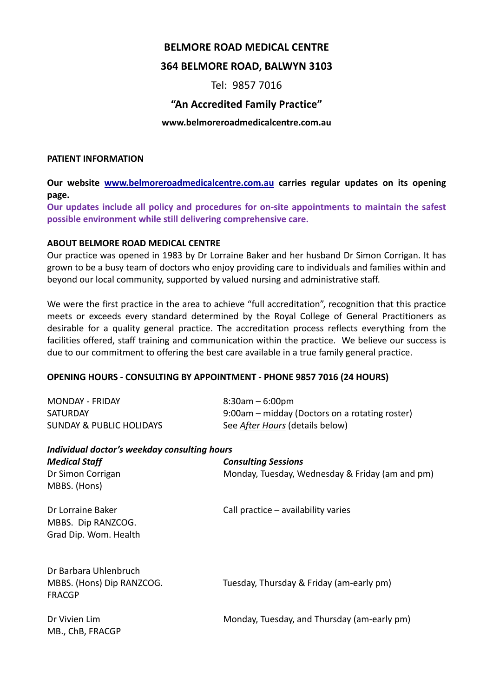## **BELMORE ROAD MEDICAL CENTRE**

# **364 BELMORE ROAD, BALWYN 3103**

# Tel: 9857 7016

# **"An Accredited Family Practice"**

#### **www.belmoreroadmedicalcentre.com.au**

#### **PATIENT INFORMATION**

**Our website www.belmoreroadmedicalcentre.com.au carries regular updates on its opening page.**

**Our updates include all policy and procedures for on-site appointments to maintain the safest possible environment while still delivering comprehensive care.**

#### **ABOUT BELMORE ROAD MEDICAL CENTRE**

Our practice was opened in 1983 by Dr Lorraine Baker and her husband Dr Simon Corrigan. It has grown to be a busy team of doctors who enjoy providing care to individuals and families within and beyond our local community, supported by valued nursing and administrative staff.

We were the first practice in the area to achieve "full accreditation", recognition that this practice meets or exceeds every standard determined by the Royal College of General Practitioners as desirable for a quality general practice. The accreditation process reflects everything from the facilities offered, staff training and communication within the practice. We believe our success is due to our commitment to offering the best care available in a true family general practice.

#### **OPENING HOURS - CONSULTING BY APPOINTMENT - PHONE 9857 7016 (24 HOURS)**

| <b>MONDAY - FRIDAY</b>                             | $8:30am - 6:00pm$                               |  |  |  |  |
|----------------------------------------------------|-------------------------------------------------|--|--|--|--|
| <b>SATURDAY</b>                                    | 9:00am – midday (Doctors on a rotating roster)  |  |  |  |  |
| <b>SUNDAY &amp; PUBLIC HOLIDAYS</b>                | See After Hours (details below)                 |  |  |  |  |
| Individual doctor's weekday consulting hours       |                                                 |  |  |  |  |
| <b>Medical Staff</b>                               | <b>Consulting Sessions</b>                      |  |  |  |  |
| Dr Simon Corrigan                                  | Monday, Tuesday, Wednesday & Friday (am and pm) |  |  |  |  |
| MBBS. (Hons)                                       |                                                 |  |  |  |  |
| Dr Lorraine Baker                                  | Call practice $-$ availability varies           |  |  |  |  |
| MBBS. Dip RANZCOG.                                 |                                                 |  |  |  |  |
| Grad Dip. Wom. Health                              |                                                 |  |  |  |  |
|                                                    |                                                 |  |  |  |  |
| Dr Barbara Uhlenbruch<br>MBBS. (Hons) Dip RANZCOG. | Tuesday, Thursday & Friday (am-early pm)        |  |  |  |  |
| <b>FRACGP</b>                                      |                                                 |  |  |  |  |
| Dr Vivien Lim                                      | Monday, Tuesday, and Thursday (am-early pm)     |  |  |  |  |
| MB., ChB, FRACGP                                   |                                                 |  |  |  |  |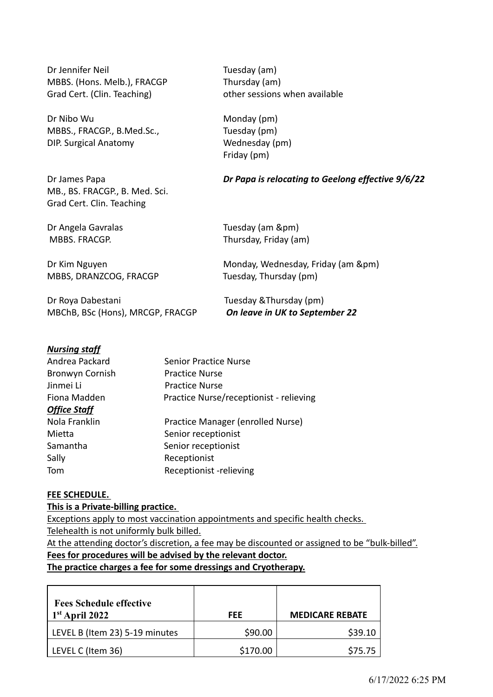Dr Jennifer Neil **Tuesday** (am) MBBS. (Hons. Melb.), FRACGP Thursday (am) Grad Cert. (Clin. Teaching) by example other sessions when available

Dr Nibo Wu Monday (pm) MBBS., FRACGP., B.Med.Sc., Tuesday (pm) DIP. Surgical Anatomy Wednesday (pm)

MB., BS. FRACGP., B. Med. Sci. Grad Cert. Clin. Teaching

Friday (pm)

#### Dr James Papa *Dr Papa is relocating to Geelong effective 9/6/22*

MBBS, DRANZCOG, FRACGP Tuesday, Thursday (pm)

Dr Roya Dabestani Tuesday &Thursday (pm) MBChB, BSc (Hons), MRCGP, FRACGP *On leave in UK to September 22*

Dr Angela Gavralas Tuesday (am &pm) MBBS. FRACGP. Thursday, Friday (am)

Dr Kim Nguyen Monday, Wednesday, Friday (am &pm)

# *Nursing staff*

| Andrea Packard         | <b>Senior Practice Nurse</b>            |
|------------------------|-----------------------------------------|
| <b>Bronwyn Cornish</b> | <b>Practice Nurse</b>                   |
| Jinmei Li              | <b>Practice Nurse</b>                   |
| Fiona Madden           | Practice Nurse/receptionist - relieving |
| <b>Office Staff</b>    |                                         |
| Nola Franklin          | Practice Manager (enrolled Nurse)       |
| Mietta                 | Senior receptionist                     |
| Samantha               | Senior receptionist                     |
| Sally                  | Receptionist                            |
| Tom                    | Receptionist -relieving                 |

#### **FEE SCHEDULE.**

#### **This is a Private-billing practice.**

Exceptions apply to most vaccination appointments and specific health checks. Telehealth is not uniformly bulk billed.

At the attending doctor's discretion, a fee may be discounted or assigned to be "bulk-billed". **Fees for procedures will be advised by the relevant doctor.**

**The practice charges a fee for some dressings and Cryotherapy.**

| <b>Fees Schedule effective</b><br>$1st$ April 2022 | FFF.     | <b>MEDICARE REBATE</b> |
|----------------------------------------------------|----------|------------------------|
| LEVEL B (Item 23) 5-19 minutes                     | \$90.00  | \$39.10                |
| LEVEL C (Item 36)                                  | \$170.00 | \$75.75                |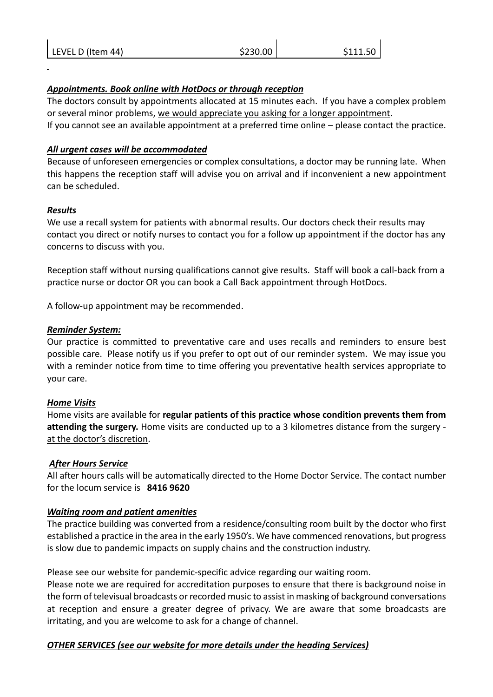| LEVEL D (Item 44) | \$230.00 | \$111.50 |
|-------------------|----------|----------|
|                   |          |          |

# *Appointments. Book online with HotDocs or through reception*

The doctors consult by appointments allocated at 15 minutes each. If you have a complex problem or several minor problems, we would appreciate you asking for a longer appointment. If you cannot see an available appointment at a preferred time online – please contact the practice.

## *All urgent cases will be accommodated*

Because of unforeseen emergencies or complex consultations, a doctor may be running late. When this happens the reception staff will advise you on arrival and if inconvenient a new appointment can be scheduled.

## *Results*

We use a recall system for patients with abnormal results. Our doctors check their results may contact you direct or notify nurses to contact you for a follow up appointment if the doctor has any concerns to discuss with you.

Reception staff without nursing qualifications cannot give results. Staff will book a call-back from a practice nurse or doctor OR you can book a Call Back appointment through HotDocs.

A follow-up appointment may be recommended.

# *Reminder System:*

Our practice is committed to preventative care and uses recalls and reminders to ensure best possible care. Please notify us if you prefer to opt out of our reminder system. We may issue you with a reminder notice from time to time offering you preventative health services appropriate to your care.

## *Home Visits*

Home visits are available for **regular patients of this practice whose condition prevents them from attending the surgery.** Home visits are conducted up to a 3 kilometres distance from the surgery at the doctor's discretion.

## *After Hours Service*

All after hours calls will be automatically directed to the Home Doctor Service. The contact number for the locum service is **8416 9620**

# *Waiting room and patient amenities*

The practice building was converted from a residence/consulting room built by the doctor who first established a practice in the area in the early 1950's. We have commenced renovations, but progress is slow due to pandemic impacts on supply chains and the construction industry.

Please see our website for pandemic-specific advice regarding our waiting room.

Please note we are required for accreditation purposes to ensure that there is background noise in the form of televisual broadcasts or recorded music to assist in masking of background conversations at reception and ensure a greater degree of privacy. We are aware that some broadcasts are irritating, and you are welcome to ask for a change of channel.

# *OTHER SERVICES (see our website for more details under the heading Services)*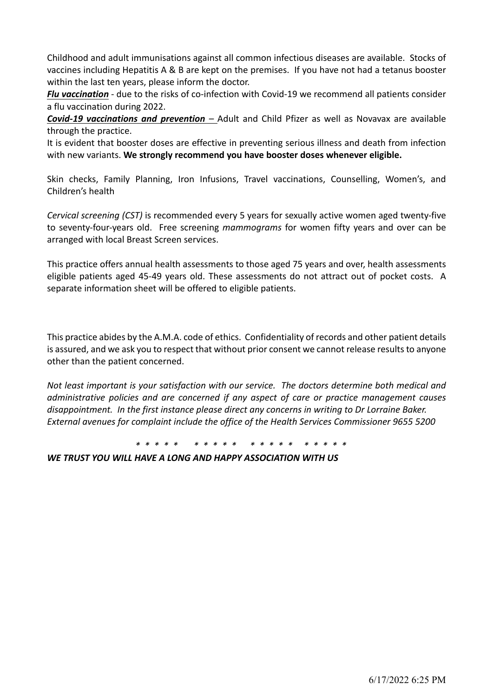Childhood and adult immunisations against all common infectious diseases are available. Stocks of vaccines including Hepatitis A & B are kept on the premises. If you have not had a tetanus booster within the last ten years, please inform the doctor.

*Flu vaccination* - due to the risks of co-infection with Covid-19 we recommend all patients consider a flu vaccination during 2022.

*Covid-19 vaccinations and prevention –* Adult and Child Pfizer as well as Novavax are available through the practice.

It is evident that booster doses are effective in preventing serious illness and death from infection with new variants. **We strongly recommend you have booster doses whenever eligible.**

Skin checks, Family Planning, Iron Infusions, Travel vaccinations, Counselling, Women's, and Children's health

*Cervical screening (CST)* is recommended every 5 years for sexually active women aged twenty-five to seventy-four-years old. Free screening *mammograms* for women fifty years and over can be arranged with local Breast Screen services.

This practice offers annual health assessments to those aged 75 years and over, health assessments eligible patients aged 45-49 years old. These assessments do not attract out of pocket costs. A separate information sheet will be offered to eligible patients.

This practice abides by the A.M.A. code of ethics. Confidentiality of records and other patient details is assured, and we ask you to respect that without prior consent we cannot release results to anyone other than the patient concerned.

*Not least important is your satisfaction with our service. The doctors determine both medical and administrative policies and are concerned if any aspect of care or practice management causes disappointment. In the first instance please direct any concerns in writing to Dr Lorraine Baker. External avenues for complaint include the office of the Health Services Commissioner 9655 5200* 

*\* \* \* \* \* \* \* \* \* \* \* \* \* \* \* \* \* \* \* \** 

*WE TRUST YOU WILL HAVE A LONG AND HAPPY ASSOCIATION WITH US*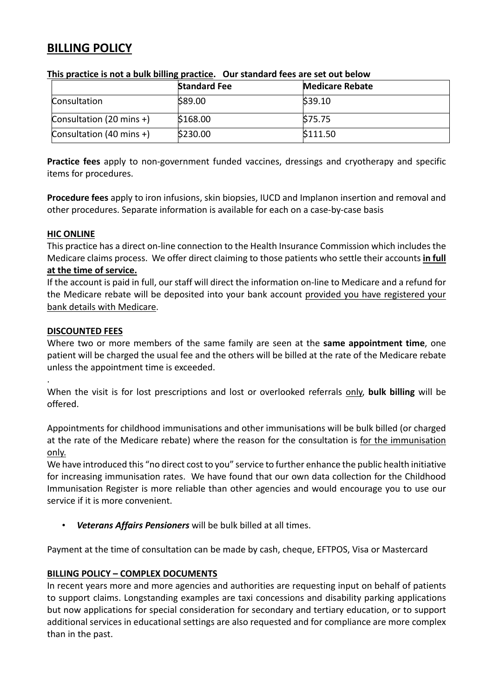# **BILLING POLICY**

|                          | <b>Standard Fee</b> | <b>Medicare Rebate</b> |  |
|--------------------------|---------------------|------------------------|--|
| Consultation             | \$89.00             | \$39.10                |  |
| Consultation (20 mins +) | \$168.00            | \$75.75                |  |
| Consultation (40 mins +) | \$230.00            | \$111.50               |  |

### **This practice is not a bulk billing practice. Our standard fees are set out below**

**Practice fees** apply to non-government funded vaccines, dressings and cryotherapy and specific items for procedures.

**Procedure fees** apply to iron infusions, skin biopsies, IUCD and Implanon insertion and removal and other procedures. Separate information is available for each on a case-by-case basis

## **HIC ONLINE**

This practice has a direct on-line connection to the Health Insurance Commission which includes the Medicare claims process. We offer direct claiming to those patients who settle their accounts **in full at the time of service.**

## If the account is paid in full, our staff will direct the information on-line to Medicare and a refund for the Medicare rebate will be deposited into your bank account provided you have registered your bank details with Medicare.

#### **DISCOUNTED FEES**

.

Where two or more members of the same family are seen at the **same appointment time**, one patient will be charged the usual fee and the others will be billed at the rate of the Medicare rebate unless the appointment time is exceeded.

When the visit is for lost prescriptions and lost or overlooked referrals only, **bulk billing** will be offered.

Appointments for childhood immunisations and other immunisations will be bulk billed (or charged at the rate of the Medicare rebate) where the reason for the consultation is for the immunisation only.

We have introduced this "no direct cost to you" service to further enhance the public health initiative for increasing immunisation rates. We have found that our own data collection for the Childhood Immunisation Register is more reliable than other agencies and would encourage you to use our service if it is more convenient.

• *Veterans Affairs Pensioners* will be bulk billed at all times.

Payment at the time of consultation can be made by cash, cheque, EFTPOS, Visa or Mastercard

## **BILLING POLICY – COMPLEX DOCUMENTS**

In recent years more and more agencies and authorities are requesting input on behalf of patients to support claims. Longstanding examples are taxi concessions and disability parking applications but now applications for special consideration for secondary and tertiary education, or to support additional services in educational settings are also requested and for compliance are more complex than in the past.